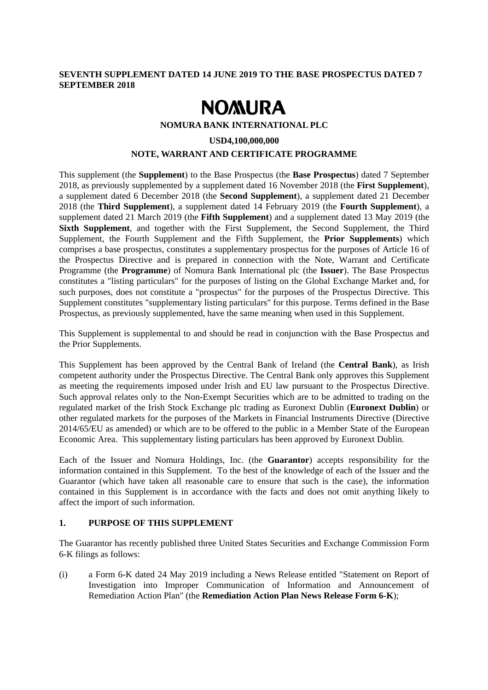### **SEVENTH SUPPLEMENT DATED 14 JUNE 2019 TO THE BASE PROSPECTUS DATED 7 SEPTEMBER 2018**

# **NOMURA**

**NOMURA BANK INTERNATIONAL PLC** 

#### **USD4,100,000,000**

## **NOTE, WARRANT AND CERTIFICATE PROGRAMME**

This supplement (the **Supplement**) to the Base Prospectus (the **Base Prospectus**) dated 7 September 2018, as previously supplemented by a supplement dated 16 November 2018 (the **First Supplement**), a supplement dated 6 December 2018 (the **Second Supplement**), a supplement dated 21 December 2018 (the **Third Supplement**), a supplement dated 14 February 2019 (the **Fourth Supplement**), a supplement dated 21 March 2019 (the **Fifth Supplement**) and a supplement dated 13 May 2019 (the **Sixth Supplement**, and together with the First Supplement, the Second Supplement, the Third Supplement, the Fourth Supplement and the Fifth Supplement, the **Prior Supplements**) which comprises a base prospectus, constitutes a supplementary prospectus for the purposes of Article 16 of the Prospectus Directive and is prepared in connection with the Note, Warrant and Certificate Programme (the **Programme**) of Nomura Bank International plc (the **Issuer**). The Base Prospectus constitutes a "listing particulars" for the purposes of listing on the Global Exchange Market and, for such purposes, does not constitute a "prospectus" for the purposes of the Prospectus Directive. This Supplement constitutes "supplementary listing particulars" for this purpose. Terms defined in the Base Prospectus, as previously supplemented, have the same meaning when used in this Supplement.

This Supplement is supplemental to and should be read in conjunction with the Base Prospectus and the Prior Supplements.

This Supplement has been approved by the Central Bank of Ireland (the **Central Bank**), as Irish competent authority under the Prospectus Directive. The Central Bank only approves this Supplement as meeting the requirements imposed under Irish and EU law pursuant to the Prospectus Directive. Such approval relates only to the Non-Exempt Securities which are to be admitted to trading on the regulated market of the Irish Stock Exchange plc trading as Euronext Dublin (**Euronext Dublin**) or other regulated markets for the purposes of the Markets in Financial Instruments Directive (Directive 2014/65/EU as amended) or which are to be offered to the public in a Member State of the European Economic Area. This supplementary listing particulars has been approved by Euronext Dublin.

Each of the Issuer and Nomura Holdings, Inc. (the **Guarantor**) accepts responsibility for the information contained in this Supplement. To the best of the knowledge of each of the Issuer and the Guarantor (which have taken all reasonable care to ensure that such is the case), the information contained in this Supplement is in accordance with the facts and does not omit anything likely to affect the import of such information.

#### **1. PURPOSE OF THIS SUPPLEMENT**

The Guarantor has recently published three United States Securities and Exchange Commission Form 6-K filings as follows:

(i) a Form 6-K dated 24 May 2019 including a News Release entitled "Statement on Report of Investigation into Improper Communication of Information and Announcement of Remediation Action Plan" (the **Remediation Action Plan News Release Form 6-K**);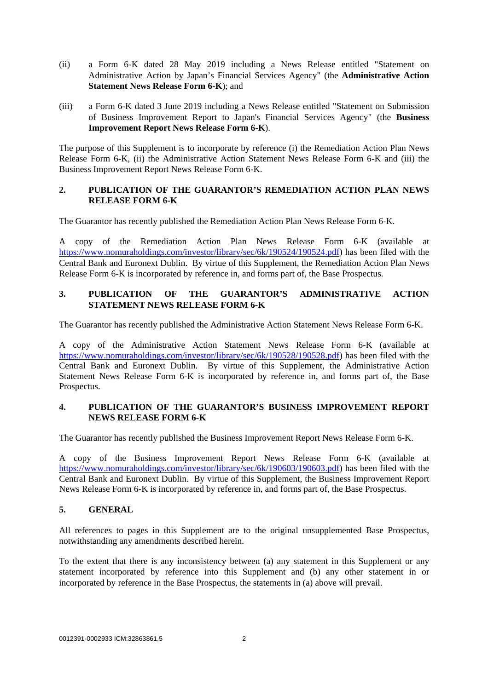- (ii) a Form 6-K dated 28 May 2019 including a News Release entitled "Statement on Administrative Action by Japan's Financial Services Agency" (the **Administrative Action Statement News Release Form 6-K**); and
- (iii) a Form 6-K dated 3 June 2019 including a News Release entitled "Statement on Submission of Business Improvement Report to Japan's Financial Services Agency" (the **Business Improvement Report News Release Form 6-K**).

The purpose of this Supplement is to incorporate by reference (i) the Remediation Action Plan News Release Form 6-K, (ii) the Administrative Action Statement News Release Form 6-K and (iii) the Business Improvement Report News Release Form 6-K.

## **2. PUBLICATION OF THE GUARANTOR'S REMEDIATION ACTION PLAN NEWS RELEASE FORM 6-K**

The Guarantor has recently published the Remediation Action Plan News Release Form 6-K.

A copy of the Remediation Action Plan News Release Form 6-K (available at https://www.nomuraholdings.com/investor/library/sec/6k/190524/190524.pdf) has been filed with the Central Bank and Euronext Dublin. By virtue of this Supplement, the Remediation Action Plan News Release Form 6-K is incorporated by reference in, and forms part of, the Base Prospectus.

# **3. PUBLICATION OF THE GUARANTOR'S ADMINISTRATIVE ACTION STATEMENT NEWS RELEASE FORM 6-K**

The Guarantor has recently published the Administrative Action Statement News Release Form 6-K.

A copy of the Administrative Action Statement News Release Form 6-K (available at https://www.nomuraholdings.com/investor/library/sec/6k/190528/190528.pdf) has been filed with the Central Bank and Euronext Dublin. By virtue of this Supplement, the Administrative Action Statement News Release Form 6-K is incorporated by reference in, and forms part of, the Base Prospectus.

# **4. PUBLICATION OF THE GUARANTOR'S BUSINESS IMPROVEMENT REPORT NEWS RELEASE FORM 6-K**

The Guarantor has recently published the Business Improvement Report News Release Form 6-K.

A copy of the Business Improvement Report News Release Form 6-K (available at https://www.nomuraholdings.com/investor/library/sec/6k/190603/190603.pdf) has been filed with the Central Bank and Euronext Dublin. By virtue of this Supplement, the Business Improvement Report News Release Form 6-K is incorporated by reference in, and forms part of, the Base Prospectus.

# **5. GENERAL**

All references to pages in this Supplement are to the original unsupplemented Base Prospectus, notwithstanding any amendments described herein.

To the extent that there is any inconsistency between (a) any statement in this Supplement or any statement incorporated by reference into this Supplement and (b) any other statement in or incorporated by reference in the Base Prospectus, the statements in (a) above will prevail.